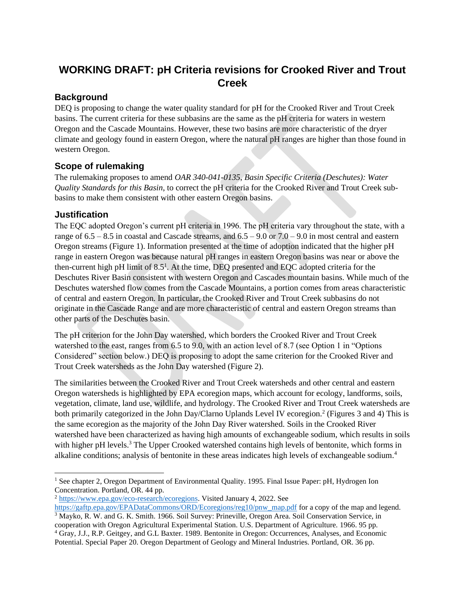# **WORKING DRAFT: pH Criteria revisions for Crooked River and Trout Creek**

### **Background**

DEQ is proposing to change the water quality standard for pH for the Crooked River and Trout Creek basins. The current criteria for these subbasins are the same as the pH criteria for waters in western Oregon and the Cascade Mountains. However, these two basins are more characteristic of the dryer climate and geology found in eastern Oregon, where the natural pH ranges are higher than those found in western Oregon.

### **Scope of rulemaking**

The rulemaking proposes to amend *OAR 340-041-0135, Basin Specific Criteria (Deschutes): Water Quality Standards for this Basin*, to correct the pH criteria for the Crooked River and Trout Creek subbasins to make them consistent with other eastern Oregon basins.

### **Justification**

The EQC adopted Oregon's current pH criteria in 1996. The pH criteria vary throughout the state, with a range of  $6.5 - 8.5$  in coastal and Cascade streams, and  $6.5 - 9.0$  or  $7.0 - 9.0$  in most central and eastern Oregon streams (Figure 1). Information presented at the time of adoption indicated that the higher pH range in eastern Oregon was because natural pH ranges in eastern Oregon basins was near or above the then-current high pH limit of  $8.5<sup>1</sup>$ . At the time, DEQ presented and EQC adopted criteria for the Deschutes River Basin consistent with western Oregon and Cascades mountain basins. While much of the Deschutes watershed flow comes from the Cascade Mountains, a portion comes from areas characteristic of central and eastern Oregon. In particular, the Crooked River and Trout Creek subbasins do not originate in the Cascade Range and are more characteristic of central and eastern Oregon streams than other parts of the Deschutes basin.

The pH criterion for the John Day watershed, which borders the Crooked River and Trout Creek watershed to the east, ranges from 6.5 to 9.0, with an action level of 8.7 (see Option 1 in "Options") Considered" section below.) DEQ is proposing to adopt the same criterion for the Crooked River and Trout Creek watersheds as the John Day watershed (Figure 2).

The similarities between the Crooked River and Trout Creek watersheds and other central and eastern Oregon watersheds is highlighted by EPA ecoregion maps, which account for ecology, landforms, soils, vegetation, climate, land use, wildlife, and hydrology. The Crooked River and Trout Creek watersheds are both primarily categorized in the John Day/Clarno Uplands Level IV ecoregion.<sup>2</sup> (Figures 3 and 4) This is the same ecoregion as the majority of the John Day River watershed. Soils in the Crooked River watershed have been characterized as having high amounts of exchangeable sodium, which results in soils with higher pH levels.<sup>3</sup> The Upper Crooked watershed contains high levels of bentonite, which forms in alkaline conditions; analysis of bentonite in these areas indicates high levels of exchangeable sodium.<sup>4</sup>

<sup>2</sup> [https://www.epa.gov/eco-research/ecoregions.](https://www.epa.gov/eco-research/ecoregions) Visited January 4, 2022. See

<sup>&</sup>lt;sup>1</sup> See chapter 2, Oregon Department of Environmental Quality. 1995. Final Issue Paper: pH, Hydrogen Ion Concentration. Portland, OR. 44 pp.

[https://gaftp.epa.gov/EPADataCommons/ORD/Ecoregions/reg10/pnw\\_map.pdf](https://gaftp.epa.gov/EPADataCommons/ORD/Ecoregions/reg10/pnw_map.pdf) for a copy of the map and legend.

<sup>3</sup> Mayko, R. W. and G. K. Smith. 1966. Soil Survey: Prineville, Oregon Area. Soil Conservation Service, in cooperation with Oregon Agricultural Experimental Station. U.S. Department of Agriculture. 1966. 95 pp.

<sup>4</sup> Gray, J.J., R.P. Geitgey, and G.L Baxter. 1989. Bentonite in Oregon: Occurrences, Analyses, and Economic Potential. Special Paper 20. Oregon Department of Geology and Mineral Industries. Portland, OR. 36 pp.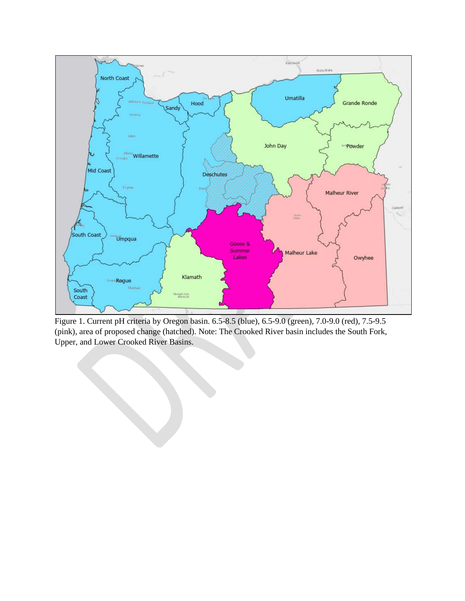

Figure 1. Current pH criteria by Oregon basin. 6.5-8.5 (blue), 6.5-9.0 (green), 7.0-9.0 (red), 7.5-9.5 (pink), area of proposed change (hatched). Note: The Crooked River basin includes the South Fork, Upper, and Lower Crooked River Basins.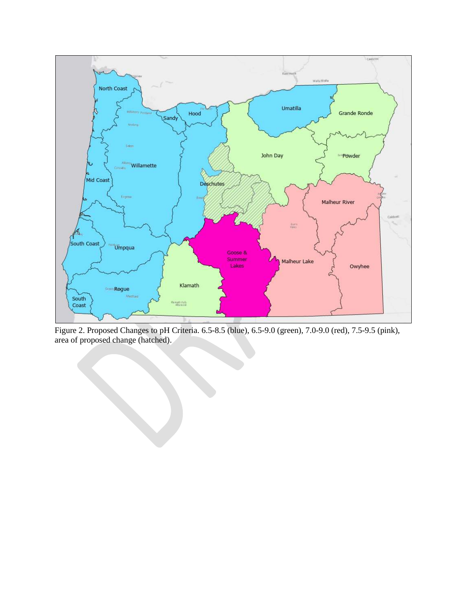

Figure 2. Proposed Changes to pH Criteria. 6.5-8.5 (blue), 6.5-9.0 (green), 7.0-9.0 (red), 7.5-9.5 (pink), area of proposed change (hatched).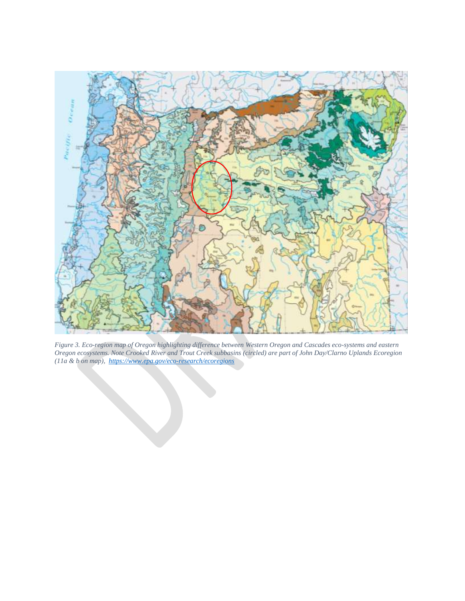

*Figure 3. Eco-region map of Oregon highlighting difference between Western Oregon and Cascades eco-systems and eastern Oregon ecosystems. Note Crooked River and Trout Creek subbasins (circled) are part of John Day/Clarno Uplands Ecoregion (11a & b on map),<https://www.epa.gov/eco-research/ecoregions>*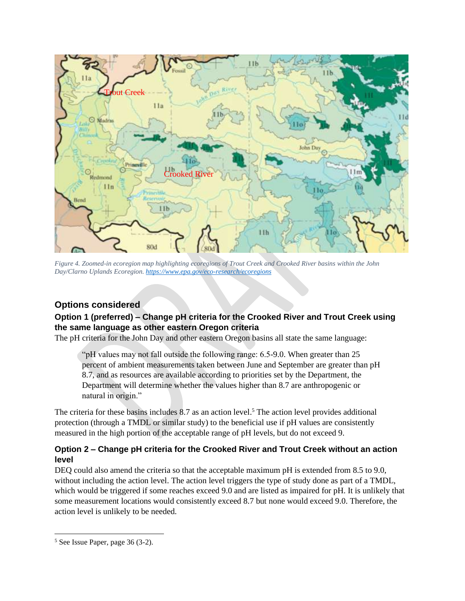

*Figure 4. Zoomed-in ecoregion map highlighting ecoregions of Trout Creek and Crooked River basins within the John Day/Clarno Uplands Ecoregion. <https://www.epa.gov/eco-research/ecoregions>*

## **Options considered**

### **Option 1 (preferred) – Change pH criteria for the Crooked River and Trout Creek using the same language as other eastern Oregon criteria**

The pH criteria for the John Day and other eastern Oregon basins all state the same language:

"pH values may not fall outside the following range: 6.5-9.0. When greater than 25 percent of ambient measurements taken between June and September are greater than pH 8.7, and as resources are available according to priorities set by the Department, the Department will determine whether the values higher than 8.7 are anthropogenic or natural in origin."

The criteria for these basins includes 8.7 as an action level.<sup>5</sup> The action level provides additional protection (through a TMDL or similar study) to the beneficial use if pH values are consistently measured in the high portion of the acceptable range of pH levels, but do not exceed 9.

#### **Option 2 – Change pH criteria for the Crooked River and Trout Creek without an action level**

DEQ could also amend the criteria so that the acceptable maximum pH is extended from 8.5 to 9.0, without including the action level. The action level triggers the type of study done as part of a TMDL, which would be triggered if some reaches exceed 9.0 and are listed as impaired for pH. It is unlikely that some measurement locations would consistently exceed 8.7 but none would exceed 9.0. Therefore, the action level is unlikely to be needed.

<sup>5</sup> See Issue Paper, page 36 (3-2).